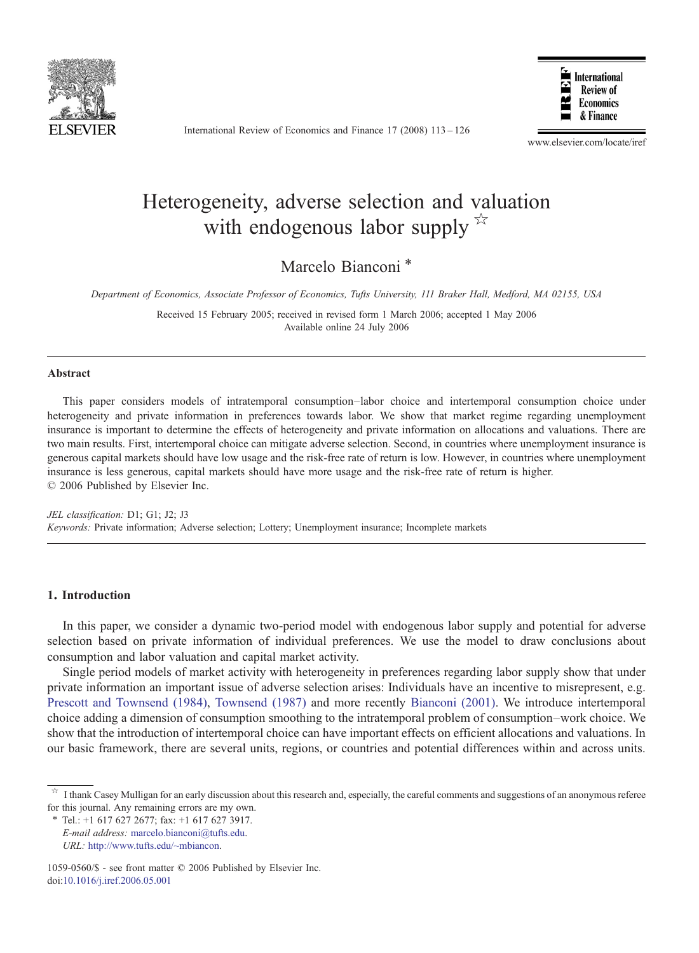

International Review of Economics and Finance 17 (2008) 113–126



www.elsevier.com/locate/iref

## Heterogeneity, adverse selection and valuation with endogenous labor supply  $\mathbb{X}$

Marcelo Bianconi<sup>\*</sup>

Department of Economics, Associate Professor of Economics, Tufts University, 111 Braker Hall, Medford, MA 02155, USA

Received 15 February 2005; received in revised form 1 March 2006; accepted 1 May 2006 Available online 24 July 2006

## Abstract

This paper considers models of intratemporal consumption–labor choice and intertemporal consumption choice under heterogeneity and private information in preferences towards labor. We show that market regime regarding unemployment insurance is important to determine the effects of heterogeneity and private information on allocations and valuations. There are two main results. First, intertemporal choice can mitigate adverse selection. Second, in countries where unemployment insurance is generous capital markets should have low usage and the risk-free rate of return is low. However, in countries where unemployment insurance is less generous, capital markets should have more usage and the risk-free rate of return is higher. © 2006 Published by Elsevier Inc.

JEL classification: D1; G1; J2; J3 Keywords: Private information; Adverse selection; Lottery; Unemployment insurance; Incomplete markets

## 1. Introduction

In this paper, we consider a dynamic two-period model with endogenous labor supply and potential for adverse selection based on private information of individual preferences. We use the model to draw conclusions about consumption and labor valuation and capital market activity.

Single period models of market activity with heterogeneity in preferences regarding labor supply show that under private information an important issue of adverse selection arises: Individuals have an incentive to misrepresent, e.g. [Prescott and Townsend \(1984\)](#page--1-0), [Townsend \(1987\)](#page--1-0) and more recently [Bianconi \(2001\).](#page--1-0) We introduce intertemporal choice adding a dimension of consumption smoothing to the intratemporal problem of consumption–work choice. We show that the introduction of intertemporal choice can have important effects on efficient allocations and valuations. In our basic framework, there are several units, regions, or countries and potential differences within and across units.

⁎ Tel.: +1 617 627 2677; fax: +1 617 627 3917.

E-mail address: [marcelo.bianconi@tufts.edu.](mailto:marcelo.bianconi@tufts.edu) URL: [http://www.tufts.edu/~mbiancon.](http://www.tufts.edu/~mbiancon)

I thank Casey Mulligan for an early discussion about this research and, especially, the careful comments and suggestions of an anonymous referee for this journal. Any remaining errors are my own.

<sup>1059-0560/\$ -</sup> see front matter © 2006 Published by Elsevier Inc. doi[:10.1016/j.iref.2006.05.001](http://dx.doi.org/10.1016/j.iref.2006.05.001)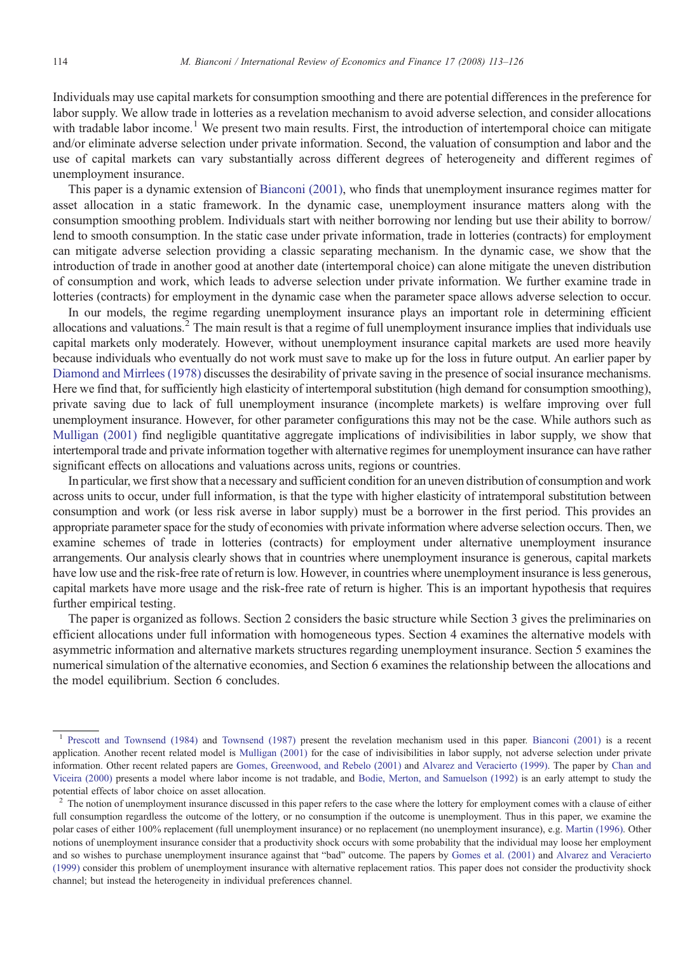Individuals may use capital markets for consumption smoothing and there are potential differences in the preference for labor supply. We allow trade in lotteries as a revelation mechanism to avoid adverse selection, and consider allocations with tradable labor income.<sup>1</sup> We present two main results. First, the introduction of intertemporal choice can mitigate and/or eliminate adverse selection under private information. Second, the valuation of consumption and labor and the use of capital markets can vary substantially across different degrees of heterogeneity and different regimes of unemployment insurance.

This paper is a dynamic extension of [Bianconi \(2001\)](#page--1-0), who finds that unemployment insurance regimes matter for asset allocation in a static framework. In the dynamic case, unemployment insurance matters along with the consumption smoothing problem. Individuals start with neither borrowing nor lending but use their ability to borrow/ lend to smooth consumption. In the static case under private information, trade in lotteries (contracts) for employment can mitigate adverse selection providing a classic separating mechanism. In the dynamic case, we show that the introduction of trade in another good at another date (intertemporal choice) can alone mitigate the uneven distribution of consumption and work, which leads to adverse selection under private information. We further examine trade in lotteries (contracts) for employment in the dynamic case when the parameter space allows adverse selection to occur.

In our models, the regime regarding unemployment insurance plays an important role in determining efficient allocations and valuations.<sup>2</sup> The main result is that a regime of full unemployment insurance implies that individuals use capital markets only moderately. However, without unemployment insurance capital markets are used more heavily because individuals who eventually do not work must save to make up for the loss in future output. An earlier paper by [Diamond and Mirrlees \(1978\)](#page--1-0) discusses the desirability of private saving in the presence of social insurance mechanisms. Here we find that, for sufficiently high elasticity of intertemporal substitution (high demand for consumption smoothing), private saving due to lack of full unemployment insurance (incomplete markets) is welfare improving over full unemployment insurance. However, for other parameter configurations this may not be the case. While authors such as [Mulligan \(2001\)](#page--1-0) find negligible quantitative aggregate implications of indivisibilities in labor supply, we show that intertemporal trade and private information together with alternative regimes for unemployment insurance can have rather significant effects on allocations and valuations across units, regions or countries.

In particular, we first show that a necessary and sufficient condition for an uneven distribution of consumption and work across units to occur, under full information, is that the type with higher elasticity of intratemporal substitution between consumption and work (or less risk averse in labor supply) must be a borrower in the first period. This provides an appropriate parameter space for the study of economies with private information where adverse selection occurs. Then, we examine schemes of trade in lotteries (contracts) for employment under alternative unemployment insurance arrangements. Our analysis clearly shows that in countries where unemployment insurance is generous, capital markets have low use and the risk-free rate of return is low. However, in countries where unemployment insurance is less generous, capital markets have more usage and the risk-free rate of return is higher. This is an important hypothesis that requires further empirical testing.

The paper is organized as follows. Section 2 considers the basic structure while Section 3 gives the preliminaries on efficient allocations under full information with homogeneous types. Section 4 examines the alternative models with asymmetric information and alternative markets structures regarding unemployment insurance. Section 5 examines the numerical simulation of the alternative economies, and Section 6 examines the relationship between the allocations and the model equilibrium. Section 6 concludes.

<sup>1</sup> [Prescott and Townsend \(1984\)](#page--1-0) and [Townsend \(1987\)](#page--1-0) present the revelation mechanism used in this paper. [Bianconi \(2001\)](#page--1-0) is a recent application. Another recent related model is [Mulligan \(2001\)](#page--1-0) for the case of indivisibilities in labor supply, not adverse selection under private information. Other recent related papers are [Gomes, Greenwood, and Rebelo \(2001\)](#page--1-0) and [Alvarez and Veracierto \(1999\).](#page--1-0) The paper by [Chan and](#page--1-0) [Viceira \(2000\)](#page--1-0) presents a model where labor income is not tradable, and [Bodie, Merton, and Samuelson \(1992\)](#page--1-0) is an early attempt to study the potential effects of labor choice on asset allocation.

<sup>&</sup>lt;sup>2</sup> The notion of unemployment insurance discussed in this paper refers to the case where the lottery for employment comes with a clause of either full consumption regardless the outcome of the lottery, or no consumption if the outcome is unemployment. Thus in this paper, we examine the polar cases of either 100% replacement (full unemployment insurance) or no replacement (no unemployment insurance), e.g. [Martin \(1996\)](#page--1-0). Other notions of unemployment insurance consider that a productivity shock occurs with some probability that the individual may loose her employment and so wishes to purchase unemployment insurance against that "bad" outcome. The papers by [Gomes et al. \(2001\)](#page--1-0) and [Alvarez and Veracierto](#page--1-0) [\(1999\)](#page--1-0) consider this problem of unemployment insurance with alternative replacement ratios. This paper does not consider the productivity shock channel; but instead the heterogeneity in individual preferences channel.